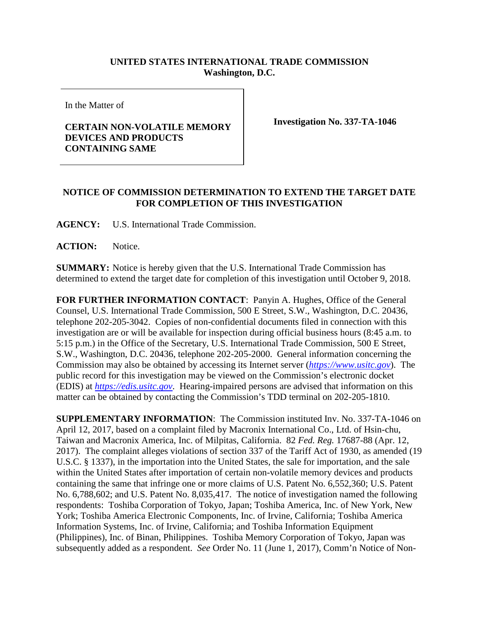## **UNITED STATES INTERNATIONAL TRADE COMMISSION Washington, D.C.**

In the Matter of

## **CERTAIN NON-VOLATILE MEMORY DEVICES AND PRODUCTS CONTAINING SAME**

**Investigation No. 337-TA-1046**

## **NOTICE OF COMMISSION DETERMINATION TO EXTEND THE TARGET DATE FOR COMPLETION OF THIS INVESTIGATION**

**AGENCY:** U.S. International Trade Commission.

**ACTION:** Notice.

**SUMMARY:** Notice is hereby given that the U.S. International Trade Commission has determined to extend the target date for completion of this investigation until October 9, 2018.

**FOR FURTHER INFORMATION CONTACT**: Panyin A. Hughes, Office of the General Counsel, U.S. International Trade Commission, 500 E Street, S.W., Washington, D.C. 20436, telephone 202-205-3042. Copies of non-confidential documents filed in connection with this investigation are or will be available for inspection during official business hours (8:45 a.m. to 5:15 p.m.) in the Office of the Secretary, U.S. International Trade Commission, 500 E Street, S.W., Washington, D.C. 20436, telephone 202-205-2000. General information concerning the Commission may also be obtained by accessing its Internet server (*[https://www.usitc.gov](https://www.usitc.gov/)*). The public record for this investigation may be viewed on the Commission's electronic docket (EDIS) at *[https://edis.usitc.gov](https://edis.usitc.gov/)*. Hearing-impaired persons are advised that information on this matter can be obtained by contacting the Commission's TDD terminal on 202-205-1810.

**SUPPLEMENTARY INFORMATION**: The Commission instituted Inv. No. 337-TA-1046 on April 12, 2017, based on a complaint filed by Macronix International Co., Ltd. of Hsin-chu, Taiwan and Macronix America, Inc. of Milpitas, California. 82 *Fed. Reg.* 17687-88 (Apr. 12, 2017). The complaint alleges violations of section 337 of the Tariff Act of 1930, as amended (19 U.S.C. § 1337), in the importation into the United States, the sale for importation, and the sale within the United States after importation of certain non-volatile memory devices and products containing the same that infringe one or more claims of U.S. Patent No. 6,552,360; U.S. Patent No. 6,788,602; and U.S. Patent No. 8,035,417. The notice of investigation named the following respondents: Toshiba Corporation of Tokyo, Japan; Toshiba America, Inc. of New York, New York; Toshiba America Electronic Components, Inc. of Irvine, California; Toshiba America Information Systems, Inc. of Irvine, California; and Toshiba Information Equipment (Philippines), Inc. of Binan, Philippines. Toshiba Memory Corporation of Tokyo, Japan was subsequently added as a respondent. *See* Order No. 11 (June 1, 2017), Comm'n Notice of Non